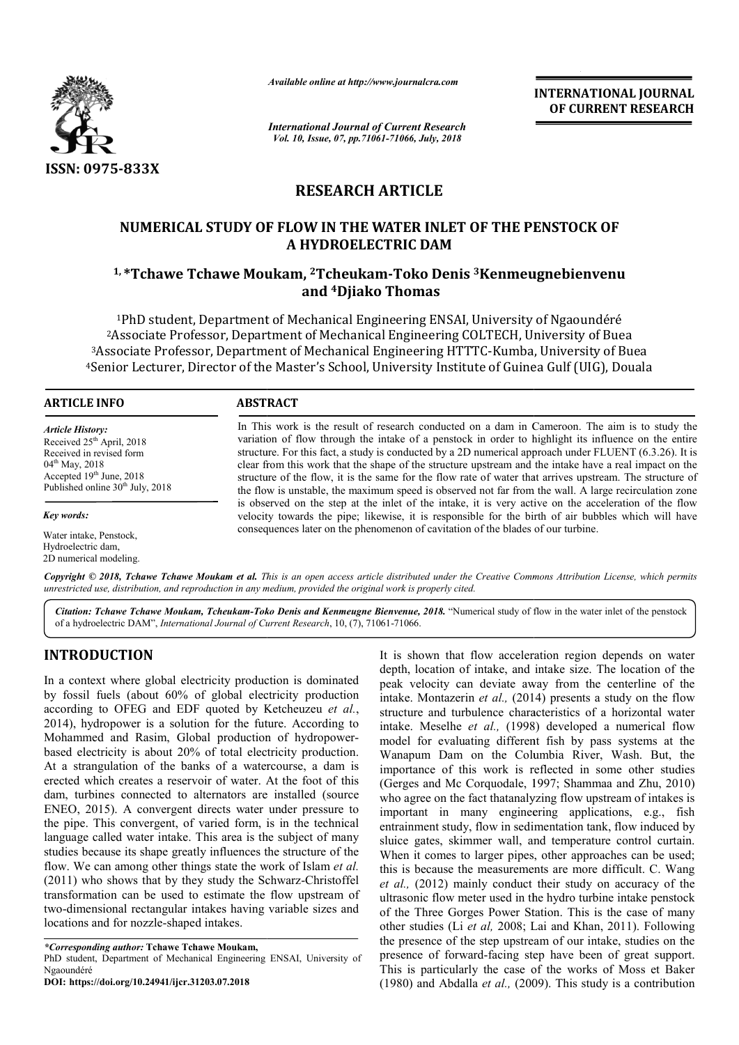

*Available online at http://www.journalcra.com*

*International Journal of Current Research Vol. 10, Issue, 07, pp.71061-71066, July, 2018*

**INTERNATIONAL JOURNAL OF CURRENT RESEARCH**

## **RESEARCH ARTICLE**

# **NUMERICAL STUDY OF FLOW IN THE WATER INLET OF THE PENSTOCK OF**  NUMERICAL STUDY OF FLOW IN THE WATER INLET OF THE PENSTOCK OF<br>A HYDROELECTRIC DAM<br><sup>1, \*</sup>Tchawe Tchawe Moukam, <sup>2</sup>Tcheukam-Toko Denis <sup>3</sup>Kenmeugnebienvenu **A HYDROELECTRIC DAM**

# **and 4Djiako Thomas**

1PhD student, Department of Mechanical Engineering ENSAI, University of Ngaoundéré Department Ngaoundéré 2Associate Professor, Department of Mechanical Engineering COLTECH, University of Buea <sup>2</sup> Associate Professor, Department of Mechanical Engineering COLTECH, University of Buea<br><sup>3</sup> Associate Professor, Department of Mechanical Engineering HTTTC-Kumba, University of Buea <sup>2</sup> Associate Professor, Department of Mechanical Engineering COLTECH, University of Buea<br><sup>3</sup> Associate Professor, Department of Mechanical Engineering HTTTC-Kumba, University of Buea<br>4 Senior Lecturer, Director of the Mas

#### **ARTICLE INFO ABSTRACT**

*Article History:* Received 25<sup>th</sup> April, 2018 Received in revised form 04<sup>th</sup> May, 2018 Accepted 19<sup>th</sup> June, 2018 Published online  $30<sup>th</sup>$  July, 2018

*Key words:*

Water intake, Penstock, Hydroelectric dam, 2D numerical modeling.

In This work is the result of research conducted on a dam in Cameroon. The aim is to study the variation of flow through the intake of a penstock in order to highlight its influence on the entire structure. For this fact, a study is conducted by a 2D numerical approach under FLUENT (6.3.26). It is clear from this work that the shape of the structure upstream and the intake have a real impact on the structure of the flow, it is the same for the flow rate of water that arrives upstream. The structure of the flow is unstable, the maximum speed is observed not far from the wall. A large recirculation zone is observed on the step at the inlet of the intake, it is very active on the acceleration of the flow velocity towards the pipe; likewise, it is responsible for the birth of air bubbles which will have consequences later on the phenomenon of cavitation of the blades of our turbine. In This work is the result of research conducted on a dam in Cameroon. The aim is to study t variation of flow through the intake of a penstock in order to highlight its influence on the ent structure. For this fact, a stu

Copyright © 2018, Tchawe Tchawe Moukam et al. This is an open access article distributed under the Creative Commons Attribution License, which permits *unrestricted use, distribution, and reproduction in any medium, provided the original work is properly cited.*

Citation: Tchawe Tchawe Moukam, Tcheukam-Toko Denis and Kenmeugne Bienvenue, 2018. "Numerical study of flow in the water inlet of the penstock of a hydroelectric DAM", *International Journal of Current Research* , 10, (7), 71061-71066.

### **INTRODUCTION**

In a context where global electricity production is dominated by fossil fuels (about 60% of global electricity production according to OFEG and EDF quoted by Ketcheuzeu *et al.*, 2014), hydropower is a solution for the future. According to Mohammed and Rasim, Global production of hydropower hydropowerbased electricity is about 20% of total electricity production. At a strangulation of the banks of a watercourse, a dam is erected which creates a reservoir of water. At the foot of this dam, turbines connected to alternators are installed (source ENEO, 2015). A convergent directs water under pressure to the pipe. This convergent, of varied form, is in the technical language called water intake. This area is the subject of many studies because its shape greatly influences the structure of the flow. We can among other things state the work of Islam *et al.* (2011) who shows that by they study the Schwarz-Christoffel transformation can be used to estimate the flow upstream of two-dimensional rectangular intakes having variable sizes and locations and for nozzle-shaped intakes. reates a reservoir of water. At the foot of this<br>connected to alternators are installed (source<br>A convergent directs water under pressure to<br>convergent, of varied form, is in the technical<br>water intake. This area is the su

*\*Corresponding author:* **Tchawe Tchawe Moukam,**

PhD student, Department of Mechanical Engineering ENSAI, University of Ngaoundéré

**DOI: https://doi.org/10.24941/ijcr.31203.07.2018**

**RODUCTION**<br>
It is shown that flow acceleration region depends on water<br>
context where global electricity production is dominated<br>
openk, location of intake, and intake size. The location of the<br>
ossist fluels (about 60% depth, location of intake, and intake size. The location of the peak velocity can deviate away from the centerline of the intake. Montazerin *et al.,* (2014) presents a study on the flow structure and turbulence characteristics of a horizontal water intake. Meselhe *et al.,* (1998) developed a numerical flow model for evaluating different fish by pass systems at the Wanapum Dam on the Columbia River, Wash. importance of this work is reflected in some other studies importance of this work is reflected in some other studies (Gerges and Mc Corquodale, 1997; Shammaa and Zhu, 2010) who agree on the fact thatanalyzing flow upstream of intakes is important in many engineering applications, e.g., fish entrainment study, flow in sedimentation tank, flow induced by sluice gates, skimmer wall, and temperature control curtain. When it comes to larger pipes, other approaches can be used; this is because the measurements are more difficult. C. Wang *et al.,* (2012) mainly conduct their study on ultrasonic flow meter used in the hydro turbine intake penstock of the Three Gorges Power Station. This is the case of many other studies (Li et al, 2008; Lai and Khan, 2011). Following the presence of the step upstream of our intake, studies on the presence of forward-facing step have been of great support. presence of forward-facing step have been of great support.<br>This is particularly the case of the works of Moss et Baker (1980) and Abdalla *et al.,* (2009) (2009). This study is a contribution peak velocity can deviate away from the centerline of the intake. Montazerin *et al.*, (2014) presents a study on the flow structure and turbulence characteristics of a horizontal water intake. Meselhe *et al.*, (1998) dev gree on the fact thatanalyzing flow upstream of intakes is<br>ant in many engineering applications, e.g., fish<br>ment study, flow in sedimentation tank, flow induced by<br>gates, skimmer wall, and temperature control curtain.<br>it c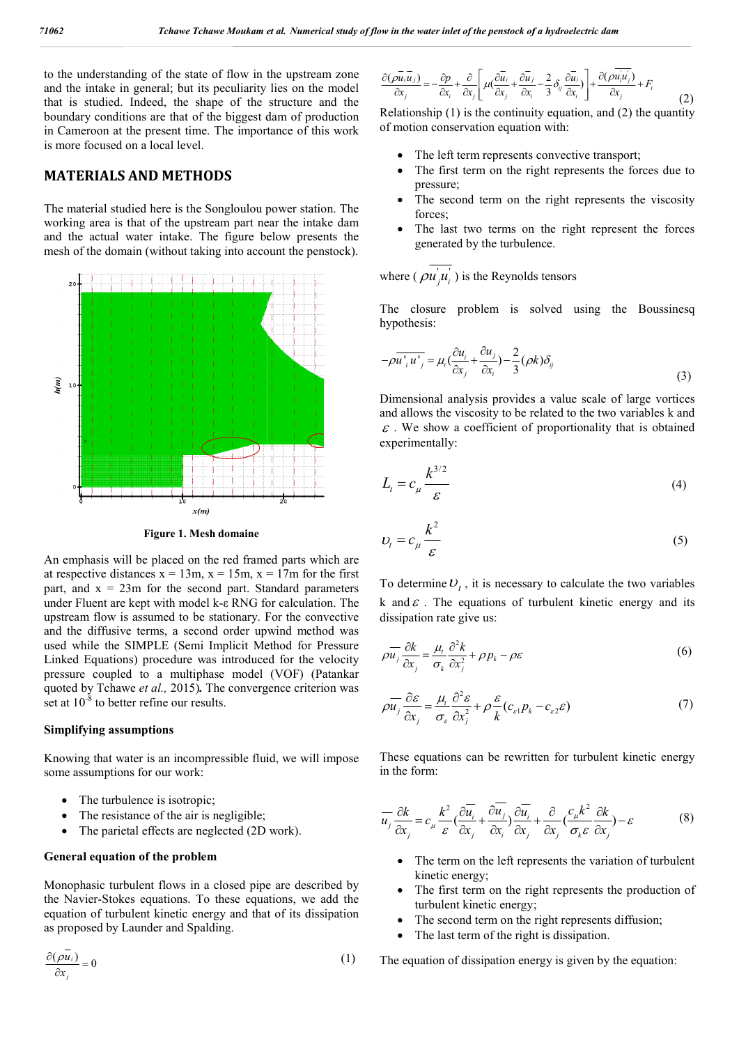to the understanding of the state of flow in the upstream zone and the intake in general; but its peculiarity lies on the model that is studied. Indeed, the shape of the structure and the boundary conditions are that of the biggest dam of production in Cameroon at the present time. The importance of this work is more focused on a local level.

#### **MATERIALS AND METHODS**

The material studied here is the Songloulou power station. The working area is that of the upstream part near the intake dam in Cameroon at the present time. The importance of this work<br>
is more focused on a local level.<br> **MATERIALS AND METHODS**<br>
The material studied here is the Songloulou power station. The<br>
working area is that of the upstream mesh of the domain (without taking into account the penstock).



**Figure 1. Mesh domaine**

An emphasis will be placed on the red framed parts which are at respective distances  $x = 13m$ ,  $x = 15m$ ,  $x = 17m$  for the first part, and  $x = 23$ m for the second part. Standard parameters under Fluent are kept with model k-ε RNG for calculation. The upstream flow is assumed to be stationary. For the convective and the diffusive terms, a second order upwind method was under Fluent are kept with model  $k$ - $\varepsilon$  RNG for calculation. The upstream flow is assumed to be stationary. For the convective and the diffusive terms, a second order upwind method was used while the SIMPLE (Semi Impli Linked Equations) procedure was introduced for the velocity pressure coupled to a multiphase model (VOF) (Patankar quoted by Tchawe *et al.,* 2015)*.* The convergence criterion was set at  $10^{-8}$  to better refine our results.

#### **Simplifying assumptions**

Knowing that water is an incompressible fluid, we will impose some assumptions for our work:

- The turbulence is isotropic;
- The resistance of the air is negligible;
- The parietal effects are neglected (2D work).

#### **General equation of the problem**

Monophasic turbulent flows in a closed pipe are described by the Navier-Stokes equations. To these equations, we add the equation of turbulent kinetic energy and that of its dissipation as proposed by Launder and Spalding. Stokes equations. To these equations, we add the<br>
turbulent kinetic energy and that of its dissipation<br>
by Launder and Spalding.<br>
(1)

$$
\frac{\partial(\rho \overline{u}_i)}{\partial x_j} = 0\tag{1}
$$

$$
\frac{\partial(\rho \overline{u_i u_j})}{\partial x_j} = -\frac{\partial p}{\partial x_i} + \frac{\partial}{\partial x_j} \left[ \mu(\frac{\partial \overline{u_i}}{\partial x_j} + \frac{\partial \overline{u_j}}{\partial x_i} - \frac{2}{3} \delta_{ij} \frac{\partial \overline{u_i}}{\partial x_i}) \right] + \frac{\partial(\rho \overline{u_i u_j})}{\partial x_j} + F_i
$$
(2)

Relationship (1) is the continuity equation, and (2) the quantity of motion conservation equation with: ationship (1) is the continuity equation, and (2) the motion conservation equation with:<br>• The left term represents convective transport;

- 
- The first term on the right represents the forces due to pressure;
- The second term on the right represents the viscosity forces;
- The last two terms on the right represent the forces generated by the turbulence.

where ( $\rho u_j u_i$ ) is the Reynolds tensors

The closure problem is solved using the Boussinesq hypothesis:

generated by the turbulence.  
\nwhere 
$$
(\rho \vec{u_j u_i})
$$
 is the Reynolds tensors  
\nThe closure problem is solved using the Boussinesc  
\nhypothesis:  
\n
$$
-\rho \vec{u_i u_j} = \mu_i (\frac{\partial u_i}{\partial x_j} + \frac{\partial u_j}{\partial x_i}) - \frac{2}{3} (\rho k) \delta_{ij}
$$
\n(3)

Dimensional analysis provides a value scale of large vortices and allows the viscosity to be related to the two variables k and  $\epsilon$ . We show a coefficient of proportionality that is obtained experimentally: nalysis provides a value scale of large vortices<br>viscosity to be related to the two variables k and<br>a coefficient of proportionality that is obtained<br>:<br>(4) *umerical smalp of flow in the veater inlet of the personal of the phroductic dam*<br>
is the moment  $\frac{\partial (\rho \overline{u_0} u)}{\partial x} = \frac{\partial \rho}{\partial x} \frac{\partial}{\partial x} \left| m \frac{\partial \overline{u_0}}{\partial x} \frac{\partial}{\partial x} \frac{\partial}{\partial x} \right| = \frac{\partial (\rho \overline{u_0} u)}{\partial x}$ <br>
in the model<br>
is

$$
L_t = c_\mu \frac{k^{3/2}}{\varepsilon} \tag{4}
$$

$$
U_t = c_\mu \frac{k^2}{\varepsilon} \tag{5}
$$

To determine  $U_t$ , it is necessary to calculate the two variables To determine  $U_t$ , it is necessary to calculate the two variables k and  $\varepsilon$ . The equations of turbulent kinetic energy and its dissipation rate give us:

$$
\rho \overline{u_j} \frac{\partial k}{\partial x_j} = \frac{\mu_t}{\sigma_k} \frac{\partial^2 k}{\partial x_j^2} + \rho p_k - \rho \varepsilon
$$
\n(6)

$$
\rho \overline{u_j} \frac{\partial \varepsilon}{\partial x_j} = \frac{\mu_i}{\sigma_{\varepsilon}} \frac{\partial^2 \varepsilon}{\partial x_j^2} + \rho \frac{\varepsilon}{k} (c_{\varepsilon 1} p_k - c_{\varepsilon 2} \varepsilon)
$$
(7)

These equations can be rewritten for turbulent kinetic energy<br>in the form:<br> $\frac{1}{2} \int_0^1 e^{-\frac{2\pi i}{\sqrt{2}}} e^{-\frac{2\pi i}{\sqrt{2}}} e^{-\frac{2\pi i}{\sqrt{2}}} e^{-\frac{2\pi i}{\sqrt{2}}}$ in the form:

$$
\overline{u_j} \frac{\partial k}{\partial x_j} = c_\mu \frac{k^2}{\varepsilon} \left( \frac{\partial \overline{u_i}}{\partial x_j} + \frac{\partial \overline{u_j}}{\partial x_i} \right) \frac{\partial \overline{u_i}}{\partial x_j} + \frac{\partial}{\partial x_j} \left( \frac{c_\mu k^2}{\sigma_k \varepsilon} \frac{\partial k}{\partial x_j} \right) - \varepsilon \tag{8}
$$

- The term on the left represents the variation of turbulent kinetic energy;
- The first term on the right represents the production of turbulent kinetic energy; turbulent kinetic energy;<br>• The second term on the right represents diffusion;
- 
- The last term of the right is dissipation.

The equation of dissipation energy is given by the equation: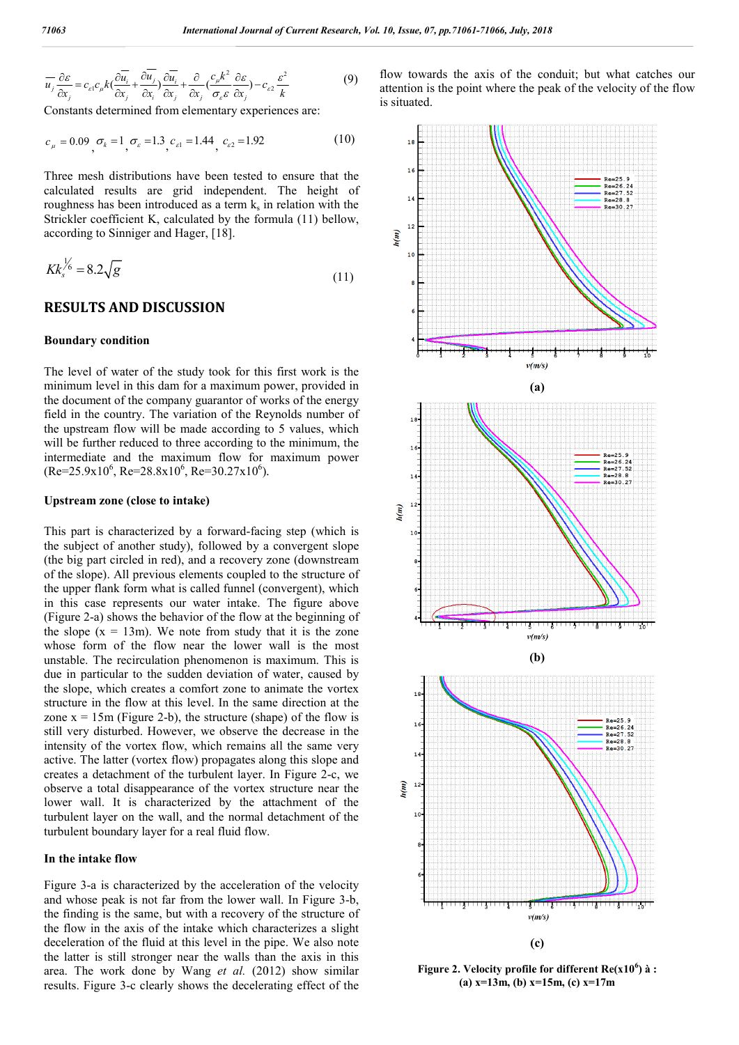$$
\overline{u_j} \frac{\partial \varepsilon}{\partial x_j} = c_{\varepsilon 1} c_{\mu} k \left( \frac{\partial \overline{u_i}}{\partial x_j} + \frac{\partial \overline{u_j}}{\partial x_i} \right) \frac{\partial \overline{u_i}}{\partial x_j} + \frac{\partial}{\partial x_j} \left( \frac{c_{\mu} k^2}{\sigma_{\varepsilon} \varepsilon} \frac{\partial \varepsilon}{\partial x_j} \right) - c_{\varepsilon 2} \frac{\varepsilon^2}{k}
$$
(9)

Constants determined from elementary experiences are:

$$
c_{\mu} = 0.09, \sigma_{k} = 1, \sigma_{\varepsilon} = 1.3, c_{\varepsilon 1} = 1.44, c_{\varepsilon 2} = 1.92
$$
 (10)

Three mesh distributions have been tested to ensure that the calculated results are grid independent. The height of roughness has been introduced as a term  $k<sub>s</sub>$  in relation with the Strickler coefficient K, calculated by the formula (11) bellow, according to Sinniger and Hager, [18].

$$
Kk_s^{\frac{1}{6}} = 8.2\sqrt{g} \tag{11}
$$

#### **RESULTS AND DISCUSSION**

#### **Boundary condition**

The level of water of the study took for this first work is the minimum level in this dam for a maximum power, provided in the document of the company guarantor of works of the energy field in the country. The variation of the Reynolds number of the upstream flow will be made according to 5 values, which will be further reduced to three according to the minimum, the intermediate and the maximum flow for maximum power  $(Re=25.9x10^6, Re=28.8x10^6, Re=30.27x10^6).$ the upstream flow will be made according to 5 values, which<br>will be further reduced to three according to the minimum, the<br>intermediate and the maximum flow for maximum power<br>(Re=25.9x10<sup>6</sup>, Re=28.8x10<sup>6</sup>, Re=30.27x10<sup>6</sup>)

#### **Upstream zone (close to intake)**

the subject of another study), followed by a convergent slope (the big part circled in red), and a recovery zone (downstream of the slope). All previous elements coupled to the structure of the upper flank form what is called funnel (convergent), which in this case represents our water intake. The figure above (Figure 2-a) shows the behavior of the flow at the beginning of the slope  $(x = 13m)$ . We note from study that it is the zone whose form of the flow near the lower wall is the most unstable. The recirculation phenomenon is maximum. This is due in particular to the sudden deviation of water, caused by the slope, which creates a comfort zone to animate the vortex structure in the flow at this level. In the same direction at the zone  $x = 15$ m (Figure 2-b), the structure (shape) of the flow is still very disturbed. However, we observe the decrease in the intensity of the vortex flow, which remains all the same very active. The latter (vortex flow) propagates along this slope and creates a detachment of the turbulent layer. In Figure 2-c, we observe a total disappearance of the vortex structure near the lower wall. It is characterized by the attachment of the turbulent layer on the wall, and the normal detachment of the turbulent boundary layer for a real fluid flow. a) shows the behavior of the flow at the beginning of  $(x = 13m)$ . We note from study that it is the zone rm of the flow near the lower wall is the most The recirculation phenomenon is maximum. This is rticular to the sudde

#### **In the intake flow**

Figure 3-a is characterized by the acceleration of the velocity and whose peak is not far from the lower wall. In Figure 3-b, the finding is the same, but with a recovery of the structure of the flow in the axis of the intake which characterizes a slight deceleration of the fluid at this level in the pipe. We also note the latter is still stronger near the walls than the axis in this area. The work done by Wang *et al.* (2012) show similar results. Figure 3-c clearly shows the decelerating effect of the layer on the wall, and the normal detachment of the<br>boundary layer for a real fluid flow.<br>take flow<br>a is characterized by the acceleration of the velocity<br>e peak is not far from the lower wall. In Figure 3-b,

flow towards the axis of the conduit; but what catches our attention is the point where the peak of the velocity of the flow is situated.



**Figure** 2. Velocity profile for different  $Re(x10^6)$  à : **(a) x=13m, (b) x=15m, (c) (b) x=17m**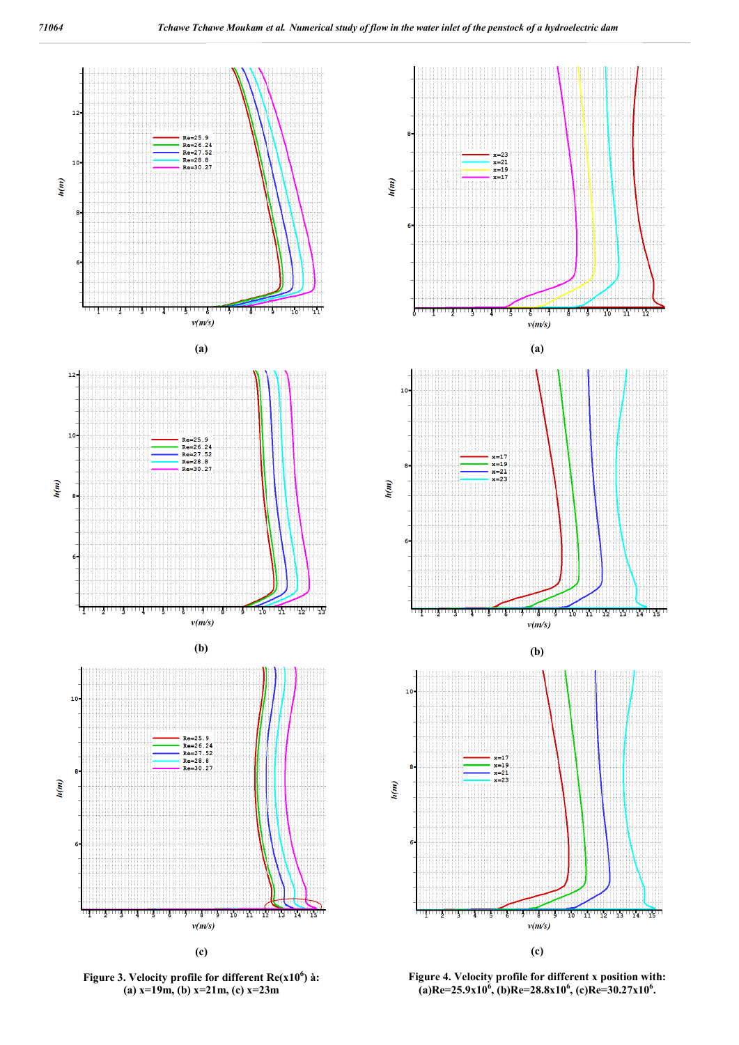

**Figure 3. Velocity profile for different Re(x10 Re(x106 ) à: (a) x=19m, (b) x=21m, (c) x=23m**



 $T_{15}$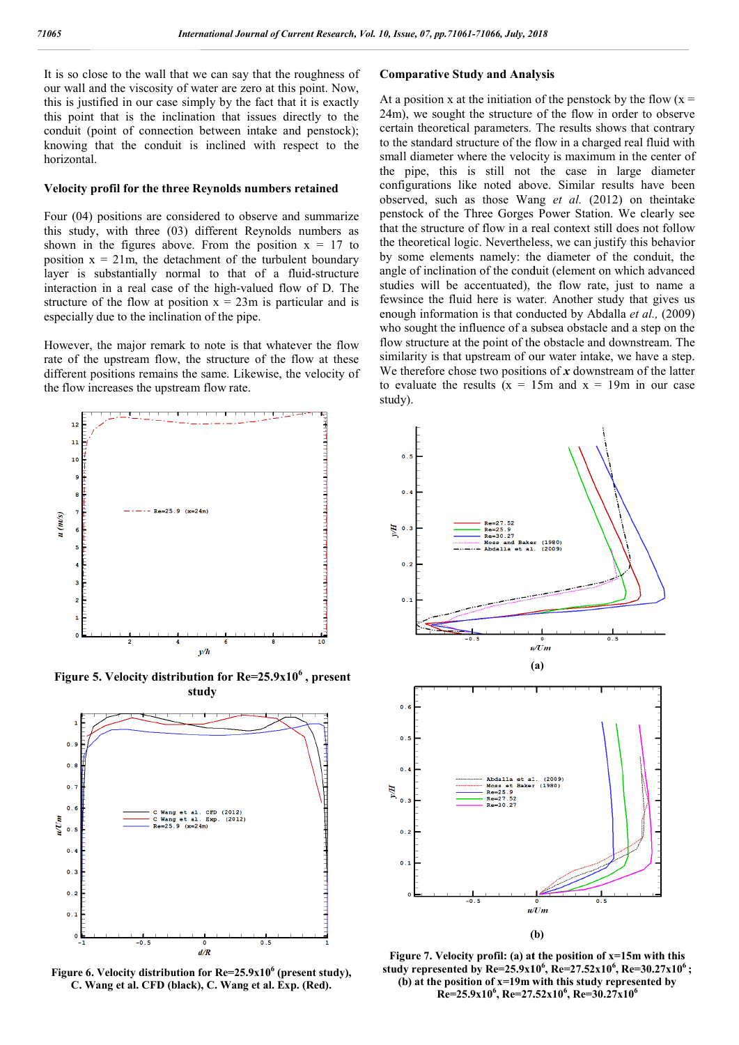It is so close to the wall that we can say that the roughness of our wall and the viscosity of water are zero at this point. Now, this is justified in our case simply by the fact that it is exactly this point that is the inclination that issues directly to the conduit (point of connection between intake and penstock); knowing that the conduit is inclined with respect to the horizontal.

#### **Velocity profil for the three Reynolds numbers retained**

Four (04) positions are considered to observe and summarize this study, with three (03) different Reynolds numbers as shown in the figures above. From the position  $x = 17$  to position  $x = 21m$ , the detachment of the turbulent boundary layer is substantially normal to that of a fluid-structure interaction in a real case of the high-valued flow of D. The structure of the flow at position  $x = 23m$  is particular and is especially due to the inclination of the pipe.

However, the major remark to note is that whatever the flow rate of the upstream flow, the structure of the flow at these different positions remains the same. Likewise, the velocity of the flow increases the upstream flow rate.



**Figure 5. Velocity distribution for Re=25.9x10 Re=25.9x10<sup>6</sup> , present study**



**Figure** 6. Velocity distribution for Re=25.9x10<sup>6</sup> (present study), **C. Wang et al. CFD (black), C. Wang et al. Exp. (Red).**

#### **Comparative Study and Analysis**

At a position x at the initiation of the penstock by the flow  $(x =$ 24m), we sought the structure of the flow in order to observe At a position x at the initiation of the penstock by the flow  $(x = 24m)$ , we sought the structure of the flow in order to observe certain theoretical parameters. The results shows that contrary to the standard structure of the flow in a charged real fluid with small diameter where the velocity is maximum in the center of the pipe, this is still not the case in large diameter configurations like noted above. Similar results have been observed, such as those Wang *et al.* (2012) on theintake penstock of the Three Gorges Power Station. We clearly see that the structure of flow in a real context still does not follow the theoretical logic. Nevertheless, we can justify this behavior by some elements namely: the diameter of the conduit, the angle of inclination of the conduit (element on which advanced studies will be accentuated), the flow rate, just to name a fewsince the fluid here is water. Another study that gives us enough information is that conducted by Abdalla *et al.*, (2009) who sought the influence of a subsea obstacle and a step on the flow structure at the point of the obstacle and downstream. The similarity is that upstream of our water intake, we have a step. We therefore chose two positions of  $x$  downstream of the latter to evaluate the results  $(x = 15m$  and  $x = 19m$  in our case study). e standard structure of the flow in a charged real fluid diameter where the velocity is maximum in the cen<br>pipe, this is still not the case in large dia<br>gurations like noted above. Similar results have structure of flow in a real context still does not follow<br>etical logic. Nevertheless, we can justify this behavior<br>elements namely: the diameter of the conduit, the<br>inclination of the conduit (element on which advanced<br>wil In the influence of a subsea obstacle and a step on the ture at the point of the obstacle and downstream. The is that upstream of our water intake, we have a step.



**Figure** 7. Velocity profil: (a) at the position of  $x=15$ m with this **study represented by Re=25.9x10 Re=25.9x10<sup>6</sup> , Re=27.52x10<sup>6</sup> , Re=30.27x106 ;**  (b) at the position of  $x=19$ m with this study represented by<br>Re=25.9x10<sup>6</sup>, Re=27.52x10<sup>6</sup>, Re=30.27x10<sup>6</sup> **Re=25.9x10<sup>6</sup> , Re=27.52x10 , Re=30.27x10<sup>6</sup>**